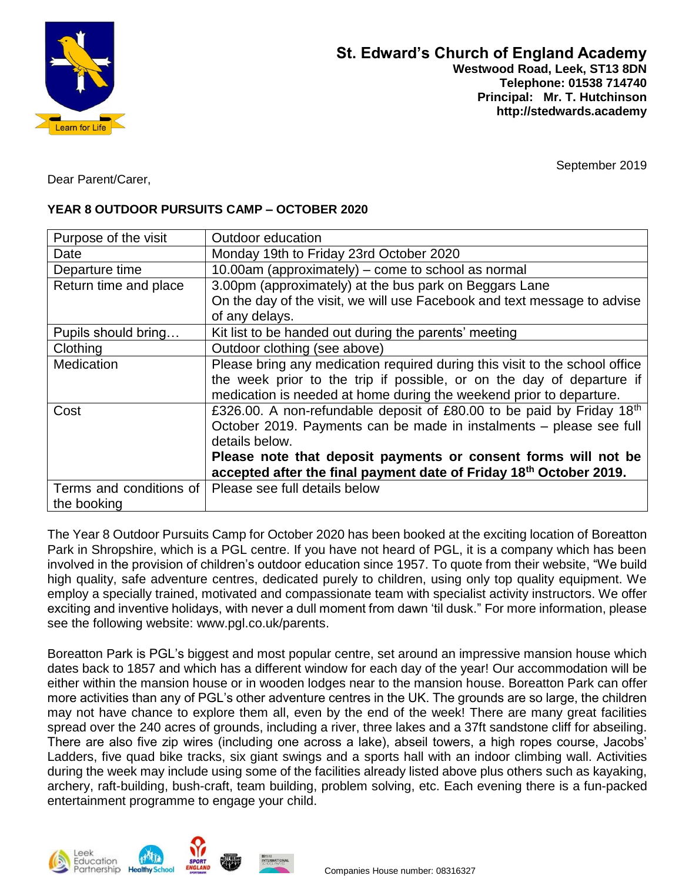

September 2019

Dear Parent/Carer,

# **YEAR 8 OUTDOOR PURSUITS CAMP – OCTOBER 2020**

| Purpose of the visit    | Outdoor education                                                                 |  |  |
|-------------------------|-----------------------------------------------------------------------------------|--|--|
| Date                    | Monday 19th to Friday 23rd October 2020                                           |  |  |
| Departure time          | 10.00am (approximately) – come to school as normal                                |  |  |
| Return time and place   | 3.00pm (approximately) at the bus park on Beggars Lane                            |  |  |
|                         | On the day of the visit, we will use Facebook and text message to advise          |  |  |
|                         | of any delays.                                                                    |  |  |
| Pupils should bring     | Kit list to be handed out during the parents' meeting                             |  |  |
| Clothing                | Outdoor clothing (see above)                                                      |  |  |
| <b>Medication</b>       | Please bring any medication required during this visit to the school office       |  |  |
|                         | the week prior to the trip if possible, or on the day of departure if             |  |  |
|                         | medication is needed at home during the weekend prior to departure.               |  |  |
| Cost                    | £326.00. A non-refundable deposit of £80.00 to be paid by Friday 18 <sup>th</sup> |  |  |
|                         | October 2019. Payments can be made in instalments - please see full               |  |  |
|                         | details below.                                                                    |  |  |
|                         | Please note that deposit payments or consent forms will not be                    |  |  |
|                         | accepted after the final payment date of Friday 18th October 2019.                |  |  |
| Terms and conditions of | Please see full details below                                                     |  |  |
| the booking             |                                                                                   |  |  |

The Year 8 Outdoor Pursuits Camp for October 2020 has been booked at the exciting location of Boreatton Park in Shropshire, which is a PGL centre. If you have not heard of PGL, it is a company which has been involved in the provision of children's outdoor education since 1957. To quote from their website, "We build high quality, safe adventure centres, dedicated purely to children, using only top quality equipment. We employ a specially trained, motivated and compassionate team with specialist activity instructors. We offer exciting and inventive holidays, with never a dull moment from dawn 'til dusk." For more information, please see the following website: www.pgl.co.uk/parents.

Boreatton Park is PGL's biggest and most popular centre, set around an impressive mansion house which dates back to 1857 and which has a different window for each day of the year! Our accommodation will be either within the mansion house or in wooden lodges near to the mansion house. Boreatton Park can offer more activities than any of PGL's other adventure centres in the UK. The grounds are so large, the children may not have chance to explore them all, even by the end of the week! There are many great facilities spread over the 240 acres of grounds, including a river, three lakes and a 37ft sandstone cliff for abseiling. There are also five zip wires (including one across a lake), abseil towers, a high ropes course, Jacobs' Ladders, five quad bike tracks, six giant swings and a sports hall with an indoor climbing wall. Activities during the week may include using some of the facilities already listed above plus others such as kayaking, archery, raft-building, bush-craft, team building, problem solving, etc. Each evening there is a fun-packed entertainment programme to engage your child.

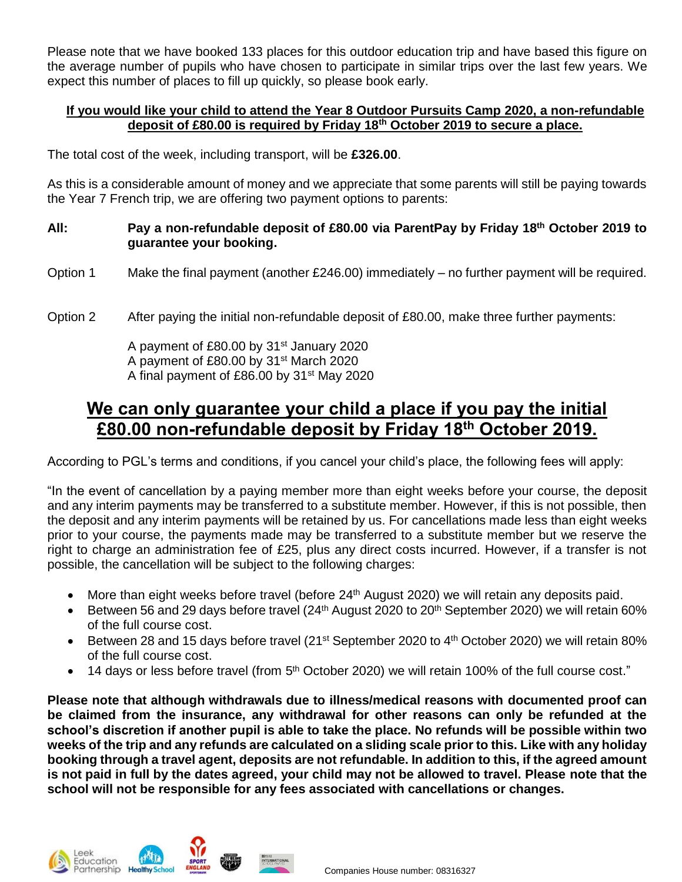Please note that we have booked 133 places for this outdoor education trip and have based this figure on the average number of pupils who have chosen to participate in similar trips over the last few years. We expect this number of places to fill up quickly, so please book early.

#### **If you would like your child to attend the Year 8 Outdoor Pursuits Camp 2020, a non-refundable deposit of £80.00 is required by Friday 18th October 2019 to secure a place.**

The total cost of the week, including transport, will be **£326.00**.

As this is a considerable amount of money and we appreciate that some parents will still be paying towards the Year 7 French trip, we are offering two payment options to parents:

### **All: Pay a non-refundable deposit of £80.00 via ParentPay by Friday 18th October 2019 to guarantee your booking.**

- Option 1 Make the final payment (another  $£246.00$ ) immediately no further payment will be required.
- Option 2 After paying the initial non-refundable deposit of £80.00, make three further payments:

A payment of £80.00 by 31st January 2020 A payment of £80.00 by 31st March 2020 A final payment of £86.00 by 31st May 2020

# **We can only guarantee your child a place if you pay the initial £80.00 non-refundable deposit by Friday 18th October 2019.**

According to PGL's terms and conditions, if you cancel your child's place, the following fees will apply:

"In the event of cancellation by a paying member more than eight weeks before your course, the deposit and any interim payments may be transferred to a substitute member. However, if this is not possible, then the deposit and any interim payments will be retained by us. For cancellations made less than eight weeks prior to your course, the payments made may be transferred to a substitute member but we reserve the right to charge an administration fee of £25, plus any direct costs incurred. However, if a transfer is not possible, the cancellation will be subject to the following charges:

- More than eight weeks before travel (before  $24<sup>th</sup>$  August 2020) we will retain any deposits paid.
- Between 56 and 29 days before travel  $(24<sup>th</sup>$  August 2020 to 20<sup>th</sup> September 2020) we will retain 60% of the full course cost.
- Between 28 and 15 days before travel (21<sup>st</sup> September 2020 to 4<sup>th</sup> October 2020) we will retain 80% of the full course cost.
- $\bullet$  14 days or less before travel (from  $5<sup>th</sup>$  October 2020) we will retain 100% of the full course cost."

**Please note that although withdrawals due to illness/medical reasons with documented proof can be claimed from the insurance, any withdrawal for other reasons can only be refunded at the school's discretion if another pupil is able to take the place. No refunds will be possible within two weeks of the trip and any refunds are calculated on a sliding scale prior to this. Like with any holiday booking through a travel agent, deposits are not refundable. In addition to this, if the agreed amount is not paid in full by the dates agreed, your child may not be allowed to travel. Please note that the school will not be responsible for any fees associated with cancellations or changes.**